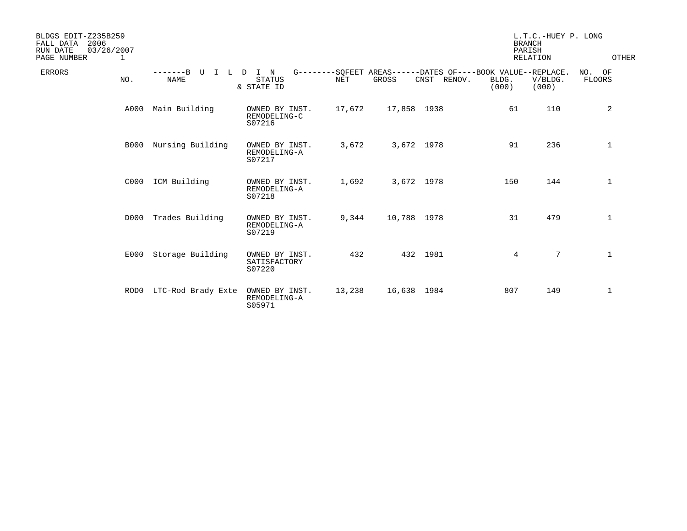| BLDGS EDIT-Z235B259<br>2006<br>FALL DATA<br>RUN DATE<br>PAGE NUMBER | 03/26/2007<br>1 |                                      |                                          |            |             |             | <b>BRANCH</b><br>PARISH<br><b>RELATION</b>                                    | L.T.C.-HUEY P. LONG | OTHER            |
|---------------------------------------------------------------------|-----------------|--------------------------------------|------------------------------------------|------------|-------------|-------------|-------------------------------------------------------------------------------|---------------------|------------------|
| <b>ERRORS</b>                                                       | NO.             | $---B$<br>U<br>T<br>L<br><b>NAME</b> | I N<br>D<br><b>STATUS</b><br>& STATE ID  | <b>NET</b> | GROSS       | CNST RENOV. | G--------SOFEET AREAS------DATES OF----BOOK VALUE--REPLACE.<br>BLDG.<br>(000) | V/BLDG.<br>(000)    | NO. OF<br>FLOORS |
|                                                                     | A000            | Main Building                        | OWNED BY INST.<br>REMODELING-C<br>S07216 | 17,672     | 17,858 1938 |             | 61                                                                            | 110                 | 2                |
|                                                                     | <b>B000</b>     | Nursing Building                     | OWNED BY INST.<br>REMODELING-A<br>S07217 | 3,672      | 3,672 1978  |             | 91                                                                            | 236                 | $\mathbf{1}$     |
|                                                                     | C000            | ICM Building                         | OWNED BY INST.<br>REMODELING-A<br>S07218 | 1,692      | 3,672 1978  |             | 150                                                                           | 144                 | $\mathbf 1$      |
|                                                                     | D000            | Trades Building                      | OWNED BY INST.<br>REMODELING-A<br>S07219 | 9,344      | 10,788 1978 |             | 31                                                                            | 479                 | $\mathbf 1$      |
|                                                                     | E000            | Storage Building                     | OWNED BY INST.<br>SATISFACTORY<br>S07220 | 432        |             | 432 1981    | $4\overline{ }$                                                               | $\overline{7}$      | $\mathbf{1}$     |
|                                                                     | ROD0            | LTC-Rod Brady Exte                   | OWNED BY INST.<br>REMODELING-A<br>S05971 | 13,238     | 16,638 1984 |             | 807                                                                           | 149                 | $\mathbf{1}$     |